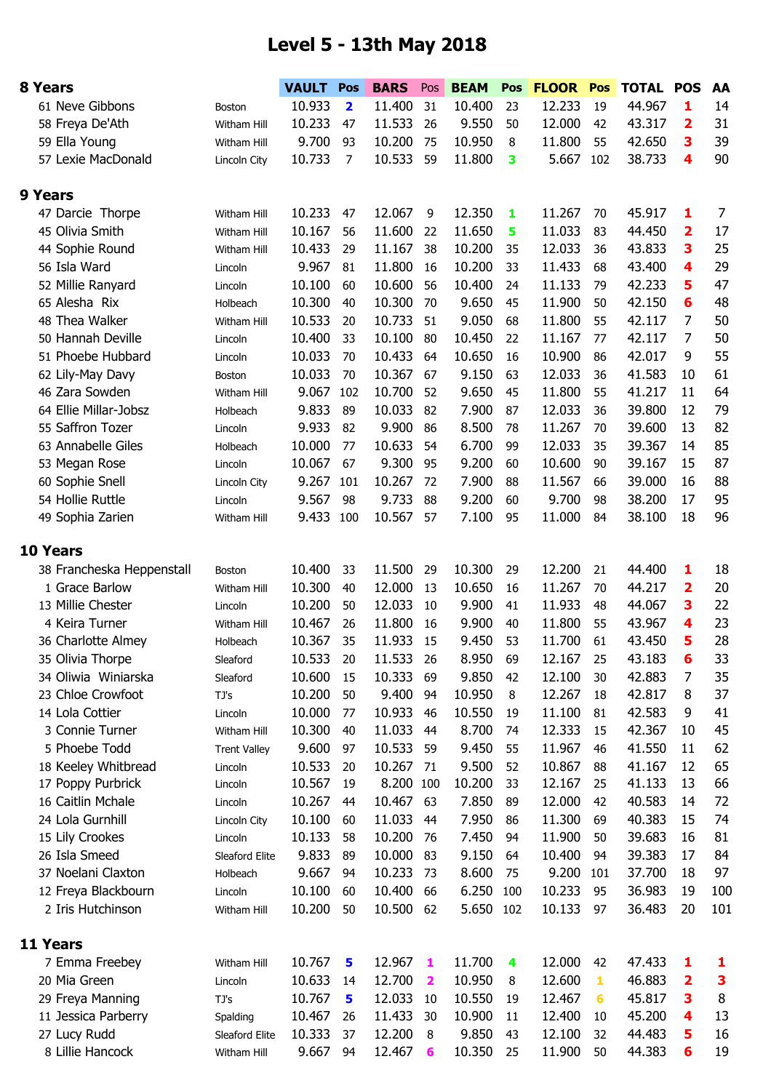## **Level 5 - 13th May 2018**

| 8 Years                   |                     | <b>VAULT</b> | Pos                     | <b>BARS</b> | Pos                     | <b>BEAM</b> | Pos | <b>FLOOR</b> | Pos | TOTAL POS |                         | AA  |
|---------------------------|---------------------|--------------|-------------------------|-------------|-------------------------|-------------|-----|--------------|-----|-----------|-------------------------|-----|
| 61 Neve Gibbons           | Boston              | 10.933       | $\overline{\mathbf{2}}$ | 11.400      | 31                      | 10.400      | 23  | 12.233       | 19  | 44.967    | 1                       | 14  |
| 58 Freya De'Ath           | Witham Hill         | 10.233       | 47                      | 11.533      | 26                      | 9.550       | 50  | 12.000       | 42  | 43.317    | 2                       | 31  |
| 59 Ella Young             | Witham Hill         | 9.700        | 93                      | 10.200      | 75                      | 10.950      | 8   | 11.800       | 55  | 42.650    | 3                       | 39  |
| 57 Lexie MacDonald        | Lincoln City        | 10.733       | 7                       | 10.533      | 59                      | 11.800      | 3   | 5.667        | 102 | 38.733    | 4                       | 90  |
|                           |                     |              |                         |             |                         |             |     |              |     |           |                         |     |
| 9 Years                   |                     |              |                         |             |                         |             |     |              |     |           |                         |     |
| 47 Darcie Thorpe          | Witham Hill         | 10.233       | 47                      | 12.067      | 9                       | 12.350      | 1   | 11.267       | 70  | 45.917    | 1                       | 7   |
| 45 Olivia Smith           | Witham Hill         | 10.167       | 56                      | 11.600      | 22                      | 11.650      | 5   | 11.033       | 83  | 44.450    | $\overline{\mathbf{2}}$ | 17  |
| 44 Sophie Round           | Witham Hill         | 10.433       | 29                      | 11.167      | 38                      | 10.200      | 35  | 12.033       | 36  | 43.833    | 3                       | 25  |
| 56 Isla Ward              | Lincoln             | 9.967        | 81                      | 11.800      | 16                      | 10.200      | 33  | 11.433       | 68  | 43.400    | 4                       | 29  |
| 52 Millie Ranyard         | Lincoln             | 10.100       | 60                      | 10.600      | 56                      | 10.400      | 24  | 11.133       | 79  | 42.233    | 5                       | 47  |
| 65 Alesha Rix             | Holbeach            | 10.300       | 40                      | 10.300      | 70                      | 9.650       | 45  | 11.900       | 50  | 42.150    | 6                       | 48  |
| 48 Thea Walker            | Witham Hill         | 10.533       | 20                      | 10.733      | 51                      | 9.050       | 68  | 11.800       | 55  | 42.117    | 7                       | 50  |
| 50 Hannah Deville         | Lincoln             | 10.400       | 33                      | 10.100      | 80                      | 10.450      | 22  | 11.167       | 77  | 42.117    | 7                       | 50  |
| 51 Phoebe Hubbard         | Lincoln             | 10.033       | 70                      | 10.433      | 64                      | 10.650      | 16  | 10.900       | 86  | 42.017    | 9                       | 55  |
| 62 Lily-May Davy          | Boston              | 10.033       | 70                      | 10.367      | 67                      | 9.150       | 63  | 12.033       | 36  | 41.583    | 10                      | 61  |
| 46 Zara Sowden            | Witham Hill         | 9.067        | 102                     | 10.700      | 52                      | 9.650       | 45  | 11.800       | 55  | 41.217    | 11                      | 64  |
| 64 Ellie Millar-Jobsz     | Holbeach            | 9.833        | 89                      | 10.033      | 82                      | 7.900       | 87  | 12.033       | 36  | 39.800    | 12                      | 79  |
| 55 Saffron Tozer          | Lincoln             | 9.933        | 82                      | 9.900       | 86                      | 8.500       | 78  | 11.267       | 70  | 39.600    | 13                      | 82  |
| 63 Annabelle Giles        | Holbeach            | 10.000       | 77                      | 10.633      | 54                      | 6.700       | 99  | 12.033       | 35  | 39.367    | 14                      | 85  |
| 53 Megan Rose             | Lincoln             | 10.067       | 67                      | 9.300       | 95                      | 9.200       | 60  | 10.600       | 90  | 39.167    | 15                      | 87  |
| 60 Sophie Snell           | Lincoln City        | 9.267        | 101                     | 10.267      | 72                      | 7.900       | 88  | 11.567       | 66  | 39.000    | 16                      | 88  |
| 54 Hollie Ruttle          | Lincoln             | 9.567        | 98                      | 9.733       | 88                      | 9.200       | 60  | 9.700        | 98  | 38.200    | 17                      | 95  |
| 49 Sophia Zarien          | Witham Hill         | 9.433        | 100                     | 10.567      | 57                      | 7.100       | 95  | 11.000       | 84  | 38.100    | 18                      | 96  |
|                           |                     |              |                         |             |                         |             |     |              |     |           |                         |     |
| <b>10 Years</b>           |                     |              |                         |             |                         |             |     |              |     |           |                         |     |
| 38 Francheska Heppenstall | <b>Boston</b>       | 10.400       | 33                      | 11.500      | 29                      | 10.300      | 29  | 12.200       | 21  | 44.400    | 1                       | 18  |
| 1 Grace Barlow            | Witham Hill         | 10.300       | 40                      | 12.000      | 13                      | 10.650      | 16  | 11.267       | 70  | 44.217    | 2                       | 20  |
| 13 Millie Chester         | Lincoln             | 10.200       | 50                      | 12.033      | 10                      | 9.900       | 41  | 11.933       | 48  | 44.067    | 3                       | 22  |
| 4 Keira Turner            | Witham Hill         | 10.467       | 26                      | 11.800      | 16                      | 9.900       | 40  | 11.800       | 55  | 43.967    | 4                       | 23  |
| 36 Charlotte Almey        | Holbeach            | 10.367       | 35                      | 11.933      | 15                      | 9.450       | 53  | 11.700       | 61  | 43.450    | 5                       | 28  |
| 35 Olivia Thorpe          | Sleaford            | 10.533       | 20                      | 11.533      | 26                      | 8.950       | 69  | 12.167       | 25  | 43.183    | 6                       | 33  |
| 34 Oliwia Winiarska       | Sleaford            | 10.600       | 15                      | 10.333      | 69                      | 9.850       | 42  | 12.100       | 30  | 42.883    | 7                       | 35  |
| 23 Chloe Crowfoot         | TJ's                | 10.200       | 50                      | 9.400       | 94                      | 10.950      | 8   | 12.267       | 18  | 42.817    | 8                       | 37  |
| 14 Lola Cottier           | Lincoln             | 10.000       | 77                      | 10.933      | 46                      | 10.550      | 19  | 11.100       | 81  | 42.583    | 9                       | 41  |
| 3 Connie Turner           | Witham Hill         | 10.300       | 40                      | 11.033      | 44                      | 8.700       | 74  | 12.333       | 15  | 42.367    | 10                      | 45  |
| 5 Phoebe Todd             | <b>Trent Valley</b> | 9.600        | 97                      | 10.533      | 59                      | 9.450       | 55  | 11.967       | 46  | 41.550    | 11                      | 62  |
| 18 Keeley Whitbread       | Lincoln             | 10.533       | 20                      | 10.267      | 71                      | 9.500       | 52  | 10.867       | 88  | 41.167    | 12                      | 65  |
| 17 Poppy Purbrick         | Lincoln             | 10.567       | 19                      | 8.200 100   |                         | 10.200      | 33  | 12.167       | 25  | 41.133    | 13                      | 66  |
| 16 Caitlin Mchale         | Lincoln             | 10.267       | 44                      | 10.467      | 63                      | 7.850       | 89  | 12.000       | 42  | 40.583    | 14                      | 72  |
| 24 Lola Gurnhill          | Lincoln City        | 10.100       | 60                      | 11.033      | 44                      | 7.950       | 86  | 11.300       | 69  | 40.383    | 15                      | 74  |
| 15 Lily Crookes           | Lincoln             | 10.133       | 58                      | 10.200      | 76                      | 7.450       | 94  | 11.900       | 50  | 39.683    | 16                      | 81  |
| 26 Isla Smeed             | Sleaford Elite      | 9.833        | 89                      | 10.000      | 83                      | 9.150       | 64  | 10.400       | 94  | 39.383    | 17                      | 84  |
| 37 Noelani Claxton        | Holbeach            | 9.667        | 94                      | 10.233      | 73                      | 8.600       | 75  | 9.200        | 101 | 37.700    | 18                      | 97  |
| 12 Freya Blackbourn       | Lincoln             | 10.100       | 60                      | 10.400      | 66                      | 6.250       | 100 | 10.233       | 95  | 36.983    | 19                      | 100 |
| 2 Iris Hutchinson         | Witham Hill         | 10.200       | 50                      | 10.500      | 62                      | 5.650       | 102 | 10.133       | 97  | 36.483    | 20                      | 101 |
|                           |                     |              |                         |             |                         |             |     |              |     |           |                         |     |
| 11 Years                  |                     |              |                         |             |                         |             |     |              |     |           |                         |     |
| 7 Emma Freebey            | Witham Hill         | 10.767       | 5                       | 12.967      | 1                       | 11.700      | 4   | 12.000       | 42  | 47.433    | 1                       | 1   |
| 20 Mia Green              | Lincoln             | 10.633       | 14                      | 12.700      | $\overline{\mathbf{2}}$ | 10.950      | 8   | 12.600       | 1   | 46.883    | 2                       | 3   |
| 29 Freya Manning          | TJ's                | 10.767       | 5                       | 12.033      | 10                      | 10.550      | 19  | 12.467       | 6   | 45.817    | 3                       | 8   |
| 11 Jessica Parberry       | Spalding            | 10.467       | 26                      | 11.433      | 30                      | 10.900      | 11  | 12.400       | 10  | 45.200    | 4                       | 13  |
| 27 Lucy Rudd              | Sleaford Elite      | 10.333       | 37                      | 12.200      | 8                       | 9.850       | 43  | 12.100       | 32  | 44.483    | 5                       | 16  |
| 8 Lillie Hancock          | Witham Hill         | 9.667        | 94                      | 12.467      | 6                       | 10.350      | 25  | 11.900       | 50  | 44.383    | $6\phantom{1}$          | 19  |